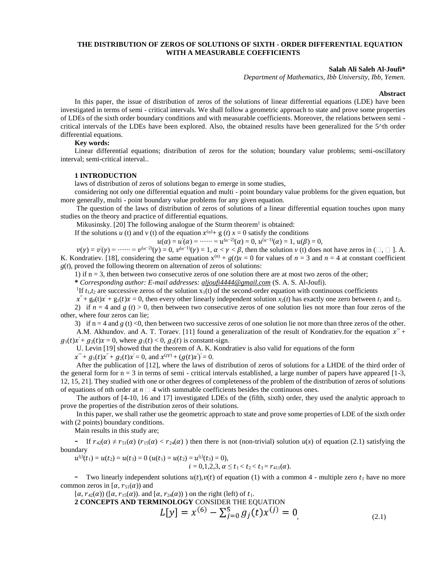# **THE DISTRIBUTION OF ZEROS OF SOLUTIONS OF SIXTH - ORDER DIFFERENTIAL EQUATION WITH A MEASURABLE COEFFICIENTS**

## **Salah Ali Saleh Al-Joufi\***

*Department of Mathematics, Ibb University, Ibb, Yemen.* 

### **Abstract**

In this paper, the issue of distribution of zeros of the solutions of linear differential equations (LDE) have been investigated in terms of semi - critical intervals. We shall follow a geometric approach to state and prove some properties of LDEs of the sixth order boundary conditions and with measurable coefficients. Moreover, the relations between semi critical intervals of the LDEs have been explored. Also, the obtained results have been generalized for the 5^th order differential equations.

# **Key words:**

Linear differential equations; distribution of zeros for the solution; boundary value problems; semi-oscillatory interval; semi-critical interval..

## **1 INTRODUCTION**

laws of distribution of zeros of solutions began to emerge in some studies,

considering not only one differential equation and multi - point boundary value problems for the given equation, but more generally, multi - point boundary value problems for any given equation.

The question of the laws of distribution of zeros of solutions of a linear differential equation touches upon many studies on the theory and practice of differential equations.

Mikusinsky. [20] The following analogue of the Sturm theorem<sup>1</sup> is obtained:

If the solutions *u* (*t*) and *v* (*t*) of the equation  $x^{(n)} + g$  (*t*)  $x = 0$  satisfy the conditions

$$
u(\alpha) = u'(\alpha) = \cdots = u^{(n-2)}(\alpha) = 0, u^{(n-1)}(\alpha) = 1, u(\beta) = 0,
$$

 $v(\gamma) = v'(\gamma) = \cdots = v^{(n-2)}(\gamma) = 0$ ,  $v^{(n-1)}(\gamma) = 1$ ,  $\alpha < \gamma < \beta$ , then the solution  $\nu$  (t) does not have zeros in (  $\Box$ ,  $\Box$  ]. A. K. Kondratiev. [18], considering the same equation  $x^{(n)} + g(t)x = 0$  for values of  $n = 3$  and  $n = 4$  at constant coefficient  $g(t)$ , proved the following theorem on alternation of zeros of solutions:

1) if n = 3, then between two consecutive zeros of one solution there are at most two zeros of the other;

**\*** *Corresponding author: E-mail addresses: aljoufi4444@gmail.com* (S. A. S. Al-Joufi).

<sup>1</sup>If  $t_1, t_2$  are successive zeros of the solution  $x_1(t)$  of the second-order equation with continuous coefficients

 $x'' + g_0(t)x' + g_1(t)x = 0$ , then every other linearly independent solution  $x_2(t)$  has exactly one zero between  $t_1$  and  $t_2$ .

2) if  $n = 4$  and *g* (*t*) > 0, then between two consecutive zeros of one solution lies not more than four zeros of the other, where four zeros can lie;

3) if  $n = 4$  and  $g(t) < 0$ , then between two successive zeros of one solution lie not more than three zeros of the other.

A.M. Akhundov. and A. T. Toraev. [11] found a generalization of the result of Kondratiev. for the equation  $x^{\prime\prime}$  +  $g_1(t)x' + g_2(t)x = 0$ , where  $g_1(t) < 0$ ,  $g_2(t)$  is constant-sign.

U. Levin [19] showed that the theorem of A. K. Kondratiev is also valid for equations of the form

 $x''' + g_1(t)x'' + g_2(t)x' = 0$ , and  $x^{(IV)} + (g(t)x')' = 0$ .

After the publication of [12], where the laws of distribution of zeros of solutions for a LHDE of the third order of the general form for  $n = 3$  in terms of semi-critical intervals established, a large number of papers have appeared  $[1-3, 1]$ 12, 15, 21]. They studied with one or other degrees of completeness of the problem of the distribution of zeros of solutions of equations of nth order at  $n \square 4$  with summable coefficients besides the continuous ones.

The authors of [4-10, 16 and 17] investigated LDEs of the (fifth, sixth) order, they used the analytic approach to prove the properties of the distribution zeros of their solutions.

In this paper, we shall rather use the geometric approach to state and prove some properties of LDE of the sixth order with (2 points) boundary conditions.

Main results in this study are;

- If  $r_{42}(\alpha) \neq r_{51}(\alpha)$  ( $r_{15}(\alpha) < r_{24}(\alpha)$ ) then there is not (non-trivial) solution  $u(x)$  of equation (2.1) satisfying the boundary

 $u^{(i)}(t_1) = u(t_2) = u(t_3) = 0$   $(u(t_1) = u(t_2) = u^{(i)}(t_3) = 0),$  $i = 0,1,2,3, \alpha \le t_1 < t_2 < t_3 = r_{411}(\alpha)$ .

- Two linearly independent solutions  $u(t),v(t)$  of equation (1) with a common 4 - multiple zero  $t_1$  have no more common zeros in [ $\alpha$ ,  $r_{51}(\alpha)$ ) and

 $[\alpha, r_{42}(\alpha))$  ( $[\alpha, r_{15}(\alpha))$ ). and  $[\alpha, r_{24}(\alpha))$ ) on the right (left) of  $t_1$ .

**2 CONCEPTS AND TERMINOLOGY** CONSIDER THE EQUATION

$$
L[y] = x^{(6)} - \sum_{j=0}^{5} g_j(t)x^{(j)} = 0,
$$
\n(2.1)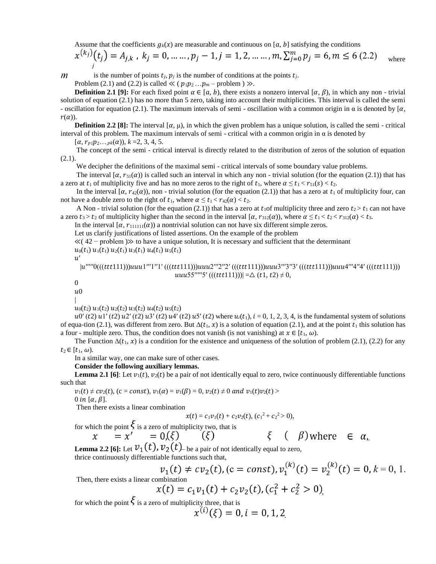Assume that the coefficients  $g_k(x)$  are measurable and continuous on [a, b] satisfying the conditions

$$
x^{(k_j)}(t_j) = A_{j,k}, \quad k_j = 0, \dots, p_j - 1, j = 1, 2, \dots, m, \sum_{j=0}^{m} p_j = 6, m \le 6 \ (2.2)
$$
 where

 $m$ 

is the number of points  $t_i$ ,  $p_i$  is the number of conditions at the points  $t_i$ .

Problem (2.1) and (2.2) is called  $\ll (p_1p_2...p_m$  – problem  $)\gg$ .

**Definition 2.1 [9]:** For each fixed point  $\alpha \in [a, b)$ , there exists a nonzero interval  $[\alpha, \beta)$ , in which any non - trivial solution of equation (2.1) has no more than 5 zero, taking into account their multiplicities. This interval is called the semi - oscillation for equation (2.1). The maximum intervals of semi - oscillation with a common origin in  $\alpha$  is denoted by  $\alpha$ ,  $r(\alpha)$ ).

**Definition 2.2 [8]:** The interval  $[\alpha, \mu)$ , in which the given problem has a unique solution, is called the semi-critical interval of this problem. The maximum intervals of semi - critical with a common origin in  $\alpha$  is denoted by

 $[\alpha, r_{p1}p_2...p_k(\alpha)), k = 2, 3, 4, 5.$ 

The concept of the semi - critical interval is directly related to the distribution of zeros of the solution of equation  $(2.1).$ 

We decipher the definitions of the maximal semi - critical intervals of some boundary value problems.

The interval  $(\alpha, r_{51}(\alpha))$  is called such an interval in which any non - trivial solution (for the equation (2.1)) that has a zero at  $t_1$  of multiplicity five and has no more zeros to the right of  $t_1$ , where  $\alpha \le t_1 < r_{51}(s) < t_2$ .

In the interval  $[\alpha, r_{42}(\alpha))$ , non - trivial solution (for the equation (2.1)) that has a zero at  $t_1$  of multiplicity four, can not have a double zero to the right of  $t_1$ , where  $\alpha \le t_1 < r_{42}(\alpha) < t_2$ .

A Non - trivial solution (for the equation (2.1)) that has a zero at  $t_1$  of multiplicity three and zero  $t_2 > t_1$  can not have a zero  $t_3 > t_2$  of multiplicity higher than the second in the interval  $[\alpha, r_{312}(\alpha))$ , where  $\alpha \le t_1 < t_2 < r_{312}(\alpha) < t_3$ .

In the interval  $[\alpha, r_{111111}(\alpha)]$  a nontrivial solution can not have six different simple zeros.

Let us clarify justifications of listed assertions. On the example of the problem

 $\ll$  (42 – problem ) $\gg$  to have a unique solution, It is necessary and sufficient that the determinant

 $u_0(t_1)$   $u_1(t_1)$   $u_2(t_1)$   $u_3(t_1)$   $u_4(t_1)$   $u_5(t_1)$ 

 $\boldsymbol{u'}$ 

 $|u''''0(((ttt111)))uuu1''1''1'(((ttt111)))uuu2''2''2'(((ttt111)))uuu3''3''3'(((ttt111)))uuu4''4''4'(((ttt111)))$  $uuu55''''''5'$  (((ttt111)))| =  $\Delta$  (t1, t2)  $\neq$  0,

 $\theta$ 

 $u<sub>0</sub>$ |

 $u_0(t_2)$   $u_1(t_2)$   $u_2(t_2)$   $u_3(t_2)$   $u_4(t_2)$   $u_5(t_2)$ 

 $u^{(1)}(t^2)$   $u^{1'}(t^2)$   $u^{2'}(t^2)$   $u^{3'}(t^2)$   $u^{4'}(t^2)$   $u^{5'}(t^2)$  where  $u_i(t_1), i = 0, 1, 2, 3, 4$ , is the fundamental system of solutions of equa-tion (2.1), was different from zero. But  $\Delta(t_1, x)$  is a solution of equation (2.1), and at the point  $t_1$  this solution has a four - multiple zero. Thus, the condition does not vanish (is not vanishing) at  $x \in [t_1, \omega)$ .

The Function  $\Delta(t_1, x)$  is a condition for the existence and uniqueness of the solution of problem (2.1), (2.2) for any  $t_2 \in [t_1, \omega)$ .

In a similar way, one can make sure of other cases.

#### **Consider the following auxiliary lemmas.**

**Lemma 2.1 [6]**: Let  $v_1(t)$ ,  $v_2(t)$  be a pair of not identically equal to zero, twice continuously differentiable functions such that

 $v_1(t) \neq cv_2(t)$ , (c = const),  $v_1(\alpha) = v_1(\beta) = 0$ ,  $v_2(t) \neq 0$  and  $v_1(t)v_2(t)$ 

0 in  $[\alpha, \beta]$ .

Then there exists a linear combination

$$
x(t) = c_1v_1(t) + c_2v_2(t), (c_1^2 + c_2^2 > 0),
$$

for which the point  $\xi$  is a zero of multiplicity two, that is  $\chi$ 

$$
x' = 0,(\xi)
$$
  $(\xi)$   $(\xi)$   $(\xi)$  where  $\epsilon$   $\alpha$ ,

**Lemma 2.2 [6]:** Let  $v_1(t)$ ,  $v_2(t)$  be a pair of not identically equal to zero,

thrice continuously differentiable functions such that,

$$
v_1(t) \neq cv_2(t)
$$
, (c = const),  $v_1^{(k)}(t) = v_2^{(k)}(t) = 0$ ,  $k = 0, 1$ .  
Then, there exists a linear combination  
 $v(t) = c$ ,  $v_1(t) + c_2 v_2(t)$ ,  $(c^2 + c^2 > 0)$ 

 $\alpha$ 

 $\sim$ 

$$
x(t) = c_1 v_1(t) + c_2 v_2(t), (c_1^2 + c_2^2 > 0)
$$

for which the point  $\zeta$  is a zero of multiplicity three, that is

$$
x^{(i)}(\xi) = 0, i = 0, 1, 2
$$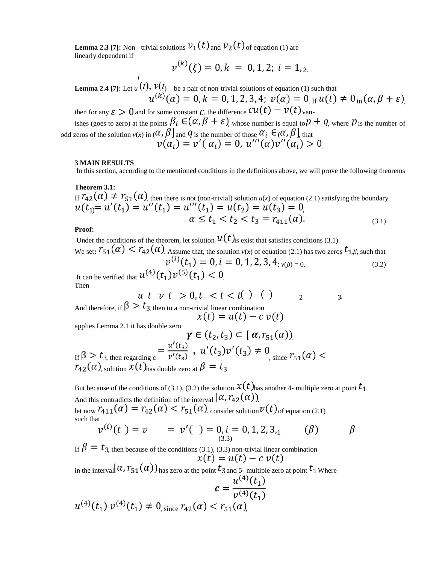**Lemma 2.3 [7]:** Non - trivial solutions  $v_1(t)$  and  $v_2(t)$  of equation (1) are linearly dependent if  $(1)$ 

$$
v^{(k)}(\xi) = 0, k = 0, 1, 2; i = 1, 2.
$$

**Lemma 2.4 [7]:** Let  $u(t)$ ,  $v(t)$  – be a pair of non-trivial solutions of equation (1) such that  $u^{(k)}(\alpha) = 0, k = 0, 1, 2, 3, 4; v(\alpha) = 0$  of  $u(t) \neq 0$  in  $(\alpha, \beta + \varepsilon)$ 

then for any  $\varepsilon > 0$  and for some constant C, the difference  $cu(t) - v(t)$  vanishes (goes to zero) at the points  $\beta_i \in (\alpha, \beta + \varepsilon)$ , whose number is equal to  $p + q$ , where  $p$  is the number of odd zeros of the solution  $v(x)$  in  $(\alpha, \beta)$  and  $\gamma$  is the number of those  $\alpha_i \in (\alpha, \beta)$ , that .

#### **3 MAIN RESULTS**

In this section, according to the mentioned conditions in the definitions above, we will prove the following theorems

**Theorem 3.1:**  If  $I_{42}(u) \neq I_{51}(u)$ , then there is not (non-trivial) solution  $u(x)$  of equation (2.1) satisfying the boundary  $\mu_1 = u$  ( $\mu_1 = u$ ) ( $\mu_1 = u$ ) ( $\mu_1 = u_1$ ) =  $u_1$ ( $\mu_2 = u_1$ ) =  $u_2$ ) =  $u_1$ (3.1)

# **Proof:**

Under the conditions of the theorem, let solution  $u(t)$  is exist that satisfies conditions (3.1). We set:  $r_{51}(\alpha) < r_{42}(\alpha)$ . Assume that, the solution  $v(x)$  of equation (2.1) has two zeros  $t_{1,\beta}$ , such that  $v^{(i)}(t_1) = 0, i = 0, 1, 2, 3, 4, v(\beta) = 0.$  (3.2) It can be verified that  $u^{(4)}(t_1)v^{(5)}(t_1) < 0$ 

Then

$$
\begin{array}{l}\n u \, t \, \ v \, t > 0, t < t < t \\
\searrow \, t & \end{array} \quad \begin{array}{l}\n 0 \\
1\n \end{array} \quad \begin{array}{l}\n 0 \\
1\n \end{array} \quad \begin{array}{l}\n 1\n \end{array} \quad \begin{array}{l}\n 0\n \end{array} \quad \begin{array}{l}\n 1\n \end{array} \quad \begin{array}{l}\n 0\n \end{array} \quad \begin{array}{l}\n 1\n \end{array} \quad \begin{array}{l}\n 0\n \end{array} \quad \begin{array}{l}\n 0\n \end{array} \quad \begin{array}{l}\n 0\n \end{array} \quad \begin{array}{l}\n 0\n \end{array} \quad \begin{array}{l}\n 0\n \end{array} \quad \begin{array}{l}\n 0\n \end{array} \quad \begin{array}{l}\n 0\n \end{array} \quad \begin{array}{l}\n 0\n \end{array} \quad \begin{array}{l}\n 0\n \end{array} \quad \begin{array}{l}\n 0\n \end{array} \quad \begin{array}{l}\n 0\n \end{array} \quad \begin{array}{l}\n 0\n \end{array} \quad \begin{array}{l}\n 0\n \end{array} \quad \begin{array}{l}\n 0\n \end{array} \quad \begin{array}{l}\n 0\n \end{array} \quad \begin{array}{l}\n 0\n \end{array} \quad \begin{array}{l}\n 0\n \end{array} \quad \begin{array}{l}\n 0\n \end{array} \quad \begin{array}{l}\n 0\n \end{array} \quad \begin{array}{l}\n 0\n \end{array} \quad \begin{array}{l}\n 0\n \end{array} \quad \begin{array}{l}\n 0\n \end{array} \quad \begin{array}{l}\n 0\n \end{array} \quad \begin{array}{l}\n 0\n \end{array} \quad \begin{array}{l}\n 0\n \end{array} \quad \begin{array}{l}\n 0\n \end{array} \quad \begin{array}{r}\n 0\n \end{array} \quad \begin{array}{r}\n 0\n \end{array} \quad \begin{array}{r}\n 0\n \end{array} \quad \begin{array}{r}\n 0\n \end{array} \quad \begin{array}{r}\n 0\n \end{array} \quad \begin{array}{r}\n 0\n \end{array} \quad \
$$

And therefore, if  $\beta > t_3$ , then to a non-trivial linear combination<br> $x(t) = u(t) - c v(t)$ 

applies Lemma 2.1 it has double zero

 $\gamma \in (t_2, t_3) \subset [\alpha, r_{51}(\alpha))$ If  $\beta > t_{3, \text{ then regarding } c} = \frac{u'(t_{3})}{v'(t_{3})}$ ,  $u'(t_{3})v'(t_{3}) \neq 0$ , since  $r_{5,1}(\alpha) <$  $r_{42}(\alpha)$ , solution  $x(t)$  has double zero at  $\beta = t_3$ .

But because of the conditions of (3.1), (3.2) the solution  $x(t)$  has another 4- multiple zero at point  $t_1$ . And this contradicts the definition of the interval  $[\alpha, r_{42}(\alpha)]$ .

let now  $r_{411}(\alpha) = r_{42}(\alpha) < r_{51}(\alpha)$ , consider solution  $v(t)$  of equation (2.1) such that

$$
v^{(i)}(t) = v = v'(\ ) = 0, i = 0, 1, 2, 3, \qquad (\beta) \qquad \beta
$$

If  $\beta = t_{3}$ , then because of the conditions (3.1), (3.3) non-trivial linear combination  $x(t) = u(t) - c v(t)$ 

in the interval  $(\alpha, r_{51}(\alpha))_{\text{has zero at the point}} t_{3 \text{ and } 5}$ - multiple zero at point  $t_1$  Where  $u^{(4)}(t_1)$ 

$$
c = \frac{c}{v^{(4)}(t_1)} \frac{v^{(4)}(t_1)}{v^{(4)}(t_1)}
$$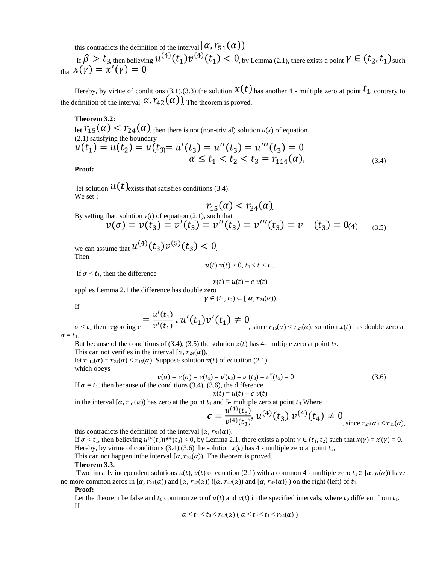this contradicts the definition of the interval  $[\alpha, r_{51}(\alpha)]$ .

If  $\beta > t_{3, \text{ then believing}} u^{(4)}(t_1) v^{(4)}(t_1) < 0$ , by Lemma (2.1), there exists a point  $\gamma \in (t_2, t_1)$  such that  $x(\gamma) = x'(\gamma) = 0$ 

Hereby, by virtue of conditions (3,1),(3.3) the solution  $x(t)$  has another 4 - multiple zero at point  $t_1$ , contrary to the definition of the interval  $(\alpha, r_{42}(\alpha))$ . The theorem is proved.

**Theorem 3.2:** 

**let**  $r_{15}(\alpha) < r_{24}(\alpha)$ , then there is not (non-trivial) solution  $u(x)$  of equation (2.1) satisfying the boundary  $u(t_1) = u(t_2) = u(t_3) = u'(t_3) = u''(t_3) = u'''(t_3) = 0,$ <br>  $\alpha \le t_1 < t_2 < t_3 = r_{114}(\alpha),$ (3.4)

**Proof:**

let solution  $u(t)$  exists that satisfies conditions (3.4). We set **:** 

$$
r_{15}(\alpha) < r_{24}(\alpha)
$$

.

By setting that, solution  $v(t)$  of equation (2.1), such that<br> $v(\sigma) = v(t_3) = v'(t_3) = v''(t_3) = v'''(t_3) = v$   $(t_3) = 0$ (4) (3.5)

we can assume that  $u^{(4)}(t_3)v^{(5)}(t_3) < 0$ Then

If  $\sigma < t_1$ , then the difference

$$
x(t) = u(t) - c \ v(t)
$$

 $u(t) v(t) > 0, t_1 < t < t_2.$ 

applies Lemma 2.1 the difference has double zero

$$
\gamma\in(t_1,\,t_2)\subset[\,\alpha,\,r_{24}(\alpha)).
$$

If

$$
_{\text{no c}} = \frac{u'(t_1)}{v'(t_1)}, \, 1
$$

 $\sigma < t_1$  then regording  $c = \frac{u(t_1)}{v'(t_1)}$ ,  $u'(t_1)v'(t_1) \neq 0$ , since  $r_{15}(\alpha) < r_{24}(\alpha)$ , solution  $x(t)$  has double zero at

 $\sigma = t_1$ .

But because of the conditions of (3.4), (3.5) the solution  $x(t)$  has 4- multiple zero at point  $t_3$ .

This can not verifies in the interval  $[\alpha, r_{24}(\alpha))$ .

let  $r_{114}(\alpha) = r_{24}(\alpha) < r_{15}(\alpha)$ . Suppose solution  $v(t)$  of equation (2.1) which obeys

$$
v(\sigma) = v'(\sigma) = v(t_3) = v'(t_3) = v''(t_3) = v'''(t_3) = 0 \tag{3.6}
$$

If  $\sigma = t_1$ , then because of the conditions (3.4), (3.6), the difference  $x(t) = u(t) - c v(t)$ 

in the interval  $[\alpha, r_{51}(\alpha)]$  has zero at the point  $t_1$  and 5- multiple zero at point  $t_3$  Where

$$
\mathbf{c} = \frac{u^{(4)}(t_3)}{v^{(4)}(t_3)}, u^{(4)}(t_3) v^{(4)}(t_4) \neq 0
$$
, since  $r_{24}(\alpha) < r_{15}(\alpha)$ ,

this contradicts the definition of the interval  $[\alpha, r_{51}(\alpha))$ .

If  $\sigma < t_1$ , then believing  $u^{(4)}(t_3)v^{(4)}(t_3) < 0$ , by Lemma 2.1, there exists a point  $\gamma \in (t_1, t_2)$  such that  $x(\gamma) = x'(\gamma) = 0$ . Hereby, by virtue of conditions (3.4),(3.6) the solution  $x(t)$  has 4 - multiple zero at point  $t_3$ ,

This can not happen in the interval  $[\alpha, r_{24}(\alpha))$ . The theorem is proved.

# **Theorem 3.3.**

Two linearly independent solutions  $u(t)$ ,  $v(t)$  of equation (2.1) with a common 4 - multiple zero  $t_1 \in [\alpha, \rho(\alpha)]$  have no more common zeros in  $[\alpha, r_{51}(\alpha))$  and  $[\alpha, r_{42}(\alpha))$  ( $[\alpha, r_{42}(\alpha))$  and  $[\alpha, r_{42}(\alpha))$ ) on the right (left) of  $t_1$ .

**Proof:** 

Let the theorem be false and  $t_0$  common zero of  $u(t)$  and  $v(t)$  in the specified intervals, where  $t_0$  different from  $t_1$ . If

$$
\alpha \leq t_1 < t_0 < r_{42}(\alpha) \; (\; \alpha \leq t_0 < t_1 < r_{24}(\alpha) \; )
$$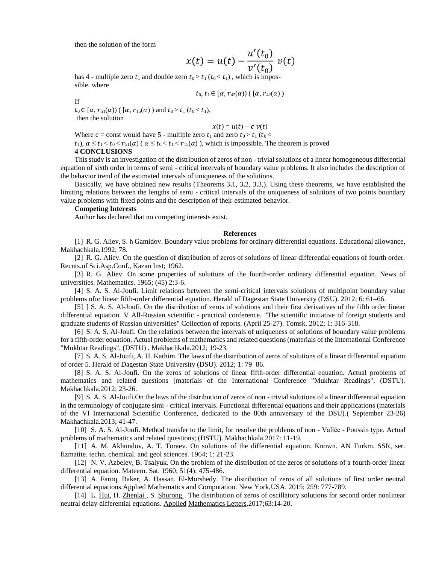then the solution of the form

$$
x(t) = u(t) - \frac{u'(t_0)}{v'(t_0)} v(t)
$$

has 4 - multiple zero  $t_1$  and double zero  $t_0 > t_1$  ( $t_0 < t_1$ ), which is impossible. where

$$
t_0, t_1 \in [\alpha, r_{42}(\alpha)) \left( [\alpha, r_{42}(\alpha)) \right)
$$

If

 $t_0 \in [\alpha, r_{51}(\alpha))$  (  $[\alpha, r_{15}(\alpha)$  ) and  $t_0 > t_1$  ( $t_0 < t_1$ ), then the solution

$$
x(t) = u(t) - c v(t)
$$

Where c = const would have 5 - multiple zero  $t_1$  and zero  $t_0 > t_1$  ( $t_0 <$  $t_1$ ),  $\alpha \le t_1 < t_0 < r_{51}(\alpha)$  ( $\alpha \le t_0 < t_1 < r_{15}(\alpha)$ ), which is impossible. The theorem is proved **4 CONCLUSIONS** 

This study is an investigation of the distribution of zeros of non - trivial solutions of a linear homogeneous differential equation of sixth order in terms of semi - critical intervals of boundary value problems. It also includes the description of the behavior trend of the estimated intervals of uniqueness of the solutions.

Basically, we have obtained new results (Theorems 3**.**1, 3**.**2, 3**.**3,). Using these theorems, we have established the limiting relations between the lengths of semi - critical intervals of the uniqueness of solutions of two points boundary value problems with fixed points and the description of their estimated behavior.

## **Competing Interests**

Author has declared that no competing interests exist.

# **References**

[1] R. G. Aliev, S. h Gamidov. Boundary value problems for ordinary differential equations. Educational allowance, Makhachkala.1992; 78.

[2] R. G. Aliev. On the question of distribution of zeros of solutions of linear differential equations of fourth order. Recnts.of Sci.Asp.Conf., Kazan Inst; 1962.

[3] R. G. Aliev. On some properties of solutions of the fourth-order ordinary differential equation. News of universities. Mathematics. 1965; (45) 2:3-6.

[4] S. A. S. Al-Joufi. Limit relations between the semi-critical intervals solutions of multipoint boundary value problems ofor linear fifth-order differential equation. Herald of Dagestan State University (DSU). 2012; 6: 61–66.

[5] ] S. A. S. Al-Joufi. On the distribution of zeros of solutions and their first derivatives of the fifth order linear differential equation. V All-Russian scientific - practical conference. "The scientific initiative of foreign students and graduate students of Russian universities" Collection of reports. (April 25-27). Tomsk. 2012; 1: 316-318.

[6] S. A. S. Al-Joufi. On the relations between the intervals of uniqueness of solutions of boundary value problems for a fifth-order equation. Actual problems of mathematics and related questions (materials of the International Conference "Mukhtar Readings", (DSTU) . Makhachkala.2012; 19-23.

[7] S. A. S. Al-Joufi, A. H. Kathim. The laws of the distribution of zeros of solutions of a linear differential equation of order 5. Herald of Dagestan State University (DSU). 2012; 1: 79–86.

[8] S. A. S. Al-Joufi. On the zeros of solutions of linear fifth-order differential equation. Actual problems of mathematics and related questions (materials of the International Conference "Mukhtar Readings", (DSTU). Makhachkala.2012; 23-26.

[9] S. A. S. Al-Joufi.On the laws of the distribution of zeros of non - trivial solutions of a linear differential equation in the terminology of conjugate simi - critical intervals. Functional differential equations and their applications (materials of the VI International Scientific Conference, dedicated to the 80th anniversary of the DSU).( September 23-26) Makhachkala.2013; 41-47.

[10] S. A. S. Al-Joufi. Method transfer to the limit, for resolve the problems of non - Vallée - Poussin type. Actual problems of mathematics and related questions; (DSTU). Makhachkala.2017: 11-19.

[11] A. M. Akhundov, A. T. Toraev. On solutions of the differential equation. Known. AN Turkm. SSR, ser. fizmatite. techn. chemical. and geol sciences. 1964; 1: 21-23.

[12] N. V. Azbelev, B. Tsalyuk. On the problem of the distribution of the zeros of solutions of a fourth-order linear differential equation. Mateem. Sat. 1960; 51(4): 475-486.

[13] A. Faroq. Baker, A. Hassan. El-Morshedy. The distribution of zeros of all solutions of first order neutral differential equations.Applied Mathematics and Computation. New York,USA. 2015; 259: 777-789.

[14] L. [Hui,](https://www.infona.pl/contributor/0@bwmeta1.element.elsevier-6f213d44-8f63-332e-9ac8-2c677f6807c6/tab/publications) H. [Zhenlai ,](https://www.infona.pl/contributor/1@bwmeta1.element.elsevier-6f213d44-8f63-332e-9ac8-2c677f6807c6/tab/publications) S. [Shurong .](https://www.infona.pl/contributor/2@bwmeta1.element.elsevier-6f213d44-8f63-332e-9ac8-2c677f6807c6/tab/publications) The distribution of zeros of oscillatory solutions for second order nonlinear neutral delay differential equations[. Applied](https://www.sciencedirect.com/science/journal/08939659) [Mathematics Letters.2](https://www.sciencedirect.com/science/journal/08939659)017;63:14-20.